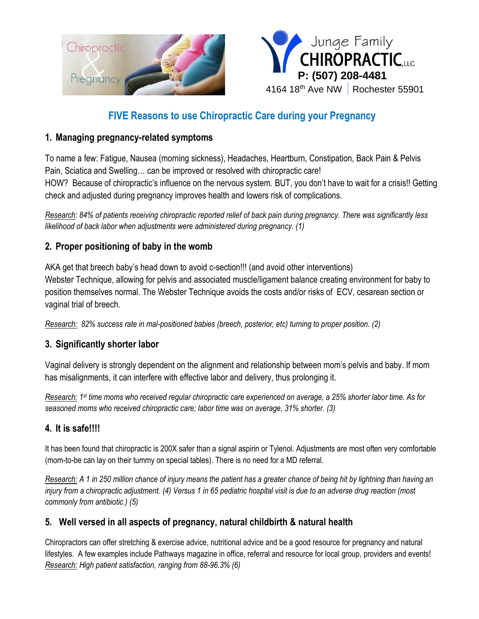



# **FIVE Reasons to use Chiropractic Care during your Pregnancy**

#### **1. Managing pregnancy-related symptoms**

To name a few: Fatigue, Nausea (morning sickness), Headaches, Heartburn, Constipation, Back Pain & Pelvis Pain, Sciatica and Swelling… can be improved or resolved with chiropractic care! HOW? Because of chiropractic's influence on the nervous system. BUT, you don't have to wait for a crisis!! Getting check and adjusted during pregnancy improves health and lowers risk of complications.

*Research: 84% of patients receiving chiropractic reported relief of back pain during pregnancy. There was significantly less likelihood of back labor when adjustments were administered during pregnancy. (1)*

### **2. Proper positioning of baby in the womb**

AKA get that breech baby's head down to avoid c-section!!! (and avoid other interventions) Webster Technique, allowing for pelvis and associated muscle/ligament balance creating environment for baby to position themselves normal. The Webster Technique avoids the costs and/or risks of ECV, cesarean section or vaginal trial of breech.

*Research: 82% success rate in mal-positioned babies (breech, posterior, etc) turning to proper position. (2)* 

## **3. Significantly shorter labor**

Vaginal delivery is strongly dependent on the alignment and relationship between mom's pelvis and baby. If mom has misalignments, it can interfere with effective labor and delivery, thus prolonging it.

*Research: 1 st time moms who received regular chiropractic care experienced on average, a 25% shorter labor time. As for seasoned moms who received chiropractic care; labor time was on average, 31% shorter. (3)*

## **4. It is safe!!!!**

It has been found that chiropractic is 200X safer than a signal aspirin or Tylenol. Adjustments are most often very comfortable (mom-to-be can lay on their tummy on special tables). There is no need for a MD referral.

*Research: A 1 in 250 million chance of injury means the patient has a greater chance of being hit by lightning than having an injury from a chiropractic adjustment. (4) Versus 1 in 65 pediatric hospital visit is due to an adverse drug reaction (most commonly from antibiotic.) (5)*

## **5. Well versed in all aspects of pregnancy, natural childbirth & natural health**

Chiropractors can offer stretching & exercise advice, nutritional advice and be a good resource for pregnancy and natural lifestyles. A few examples include Pathways magazine in office, referral and resource for local group, providers and events! *Research: High patient satisfaction, ranging from 88-96.3% (6)*